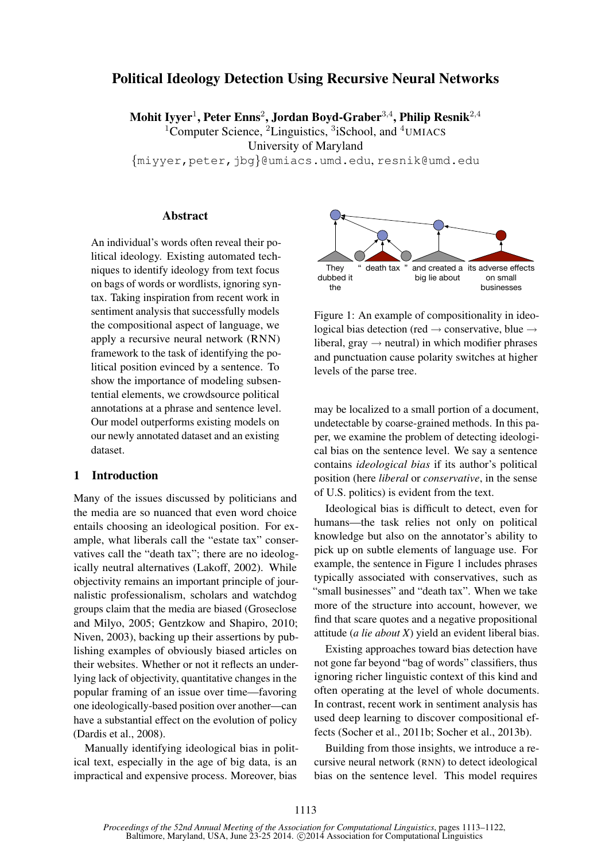# Political Ideology Detection Using Recursive Neural Networks

Mohit Iyyer $^1$ , Peter Enns $^2$ , Jordan Boyd-Graber $^{3,4}$ , Philip Resnik $^{2,4}$ 

<sup>1</sup>Computer Science, <sup>2</sup>Linguistics, <sup>3</sup>iSchool, and <sup>4</sup>UMIACS

University of Maryland

{miyyer,peter,jbg}@umiacs.umd.edu, resnik@umd.edu

# **Abstract**

An individual's words often reveal their political ideology. Existing automated techniques to identify ideology from text focus on bags of words or wordlists, ignoring syntax. Taking inspiration from recent work in sentiment analysis that successfully models the compositional aspect of language, we apply a recursive neural network (RNN) framework to the task of identifying the political position evinced by a sentence. To show the importance of modeling subsentential elements, we crowdsource political annotations at a phrase and sentence level. Our model outperforms existing models on our newly annotated dataset and an existing dataset.

# 1 Introduction

Many of the issues discussed by politicians and the media are so nuanced that even word choice entails choosing an ideological position. For example, what liberals call the "estate tax" conservatives call the "death tax"; there are no ideologically neutral alternatives (Lakoff, 2002). While objectivity remains an important principle of journalistic professionalism, scholars and watchdog groups claim that the media are biased (Groseclose and Milyo, 2005; Gentzkow and Shapiro, 2010; Niven, 2003), backing up their assertions by publishing examples of obviously biased articles on their websites. Whether or not it reflects an underlying lack of objectivity, quantitative changes in the popular framing of an issue over time—favoring one ideologically-based position over another—can have a substantial effect on the evolution of policy (Dardis et al., 2008).

Manually identifying ideological bias in political text, especially in the age of big data, is an impractical and expensive process. Moreover, bias



Figure 1: An example of compositionality in ideological bias detection (red  $\rightarrow$  conservative, blue  $\rightarrow$ liberal, gray  $\rightarrow$  neutral) in which modifier phrases and punctuation cause polarity switches at higher levels of the parse tree.

may be localized to a small portion of a document, undetectable by coarse-grained methods. In this paper, we examine the problem of detecting ideological bias on the sentence level. We say a sentence contains *ideological bias* if its author's political position (here *liberal* or *conservative*, in the sense of U.S. politics) is evident from the text.

Ideological bias is difficult to detect, even for humans—the task relies not only on political knowledge but also on the annotator's ability to pick up on subtle elements of language use. For example, the sentence in Figure 1 includes phrases typically associated with conservatives, such as "small businesses" and "death tax". When we take more of the structure into account, however, we find that scare quotes and a negative propositional attitude (*a lie about X*) yield an evident liberal bias.

Existing approaches toward bias detection have not gone far beyond "bag of words" classifiers, thus ignoring richer linguistic context of this kind and often operating at the level of whole documents. In contrast, recent work in sentiment analysis has used deep learning to discover compositional effects (Socher et al., 2011b; Socher et al., 2013b).

Building from those insights, we introduce a recursive neural network (RNN) to detect ideological bias on the sentence level. This model requires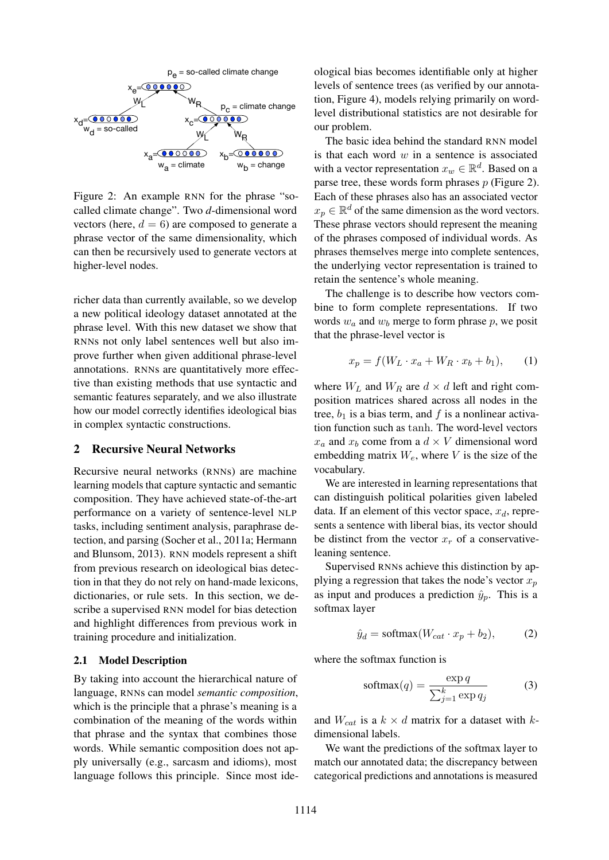

Figure 2: An example RNN for the phrase "socalled climate change". Two *d*-dimensional word vectors (here,  $d = 6$ ) are composed to generate a phrase vector of the same dimensionality, which can then be recursively used to generate vectors at higher-level nodes.

richer data than currently available, so we develop a new political ideology dataset annotated at the phrase level. With this new dataset we show that RNNs not only label sentences well but also improve further when given additional phrase-level annotations. RNNs are quantitatively more effective than existing methods that use syntactic and semantic features separately, and we also illustrate how our model correctly identifies ideological bias in complex syntactic constructions.

### 2 Recursive Neural Networks

Recursive neural networks (RNNs) are machine learning models that capture syntactic and semantic composition. They have achieved state-of-the-art performance on a variety of sentence-level NLP tasks, including sentiment analysis, paraphrase detection, and parsing (Socher et al., 2011a; Hermann and Blunsom, 2013). RNN models represent a shift from previous research on ideological bias detection in that they do not rely on hand-made lexicons, dictionaries, or rule sets. In this section, we describe a supervised RNN model for bias detection and highlight differences from previous work in training procedure and initialization.

#### 2.1 Model Description

By taking into account the hierarchical nature of language, RNNs can model *semantic composition*, which is the principle that a phrase's meaning is a combination of the meaning of the words within that phrase and the syntax that combines those words. While semantic composition does not apply universally (e.g., sarcasm and idioms), most language follows this principle. Since most ide-

ological bias becomes identifiable only at higher levels of sentence trees (as verified by our annotation, Figure 4), models relying primarily on wordlevel distributional statistics are not desirable for our problem.

The basic idea behind the standard RNN model is that each word  $w$  in a sentence is associated with a vector representation  $x_w \in \mathbb{R}^d$ . Based on a parse tree, these words form phrases  $p$  (Figure 2). Each of these phrases also has an associated vector  $x_p \in \mathbb{R}^d$  of the same dimension as the word vectors. These phrase vectors should represent the meaning of the phrases composed of individual words. As phrases themselves merge into complete sentences, the underlying vector representation is trained to retain the sentence's whole meaning.

The challenge is to describe how vectors combine to form complete representations. If two words  $w_a$  and  $w_b$  merge to form phrase p, we posit that the phrase-level vector is

$$
x_p = f(W_L \cdot x_a + W_R \cdot x_b + b_1), \qquad (1)
$$

where  $W_L$  and  $W_R$  are  $d \times d$  left and right composition matrices shared across all nodes in the tree,  $b_1$  is a bias term, and f is a nonlinear activation function such as tanh. The word-level vectors  $x_a$  and  $x_b$  come from a  $d \times V$  dimensional word embedding matrix  $W_e$ , where V is the size of the vocabulary.

We are interested in learning representations that can distinguish political polarities given labeled data. If an element of this vector space,  $x_d$ , represents a sentence with liberal bias, its vector should be distinct from the vector  $x_r$  of a conservativeleaning sentence.

Supervised RNNs achieve this distinction by applying a regression that takes the node's vector  $x_p$ as input and produces a prediction  $\hat{y}_p$ . This is a softmax layer

$$
\hat{y}_d = \text{softmax}(W_{cat} \cdot x_p + b_2),\tag{2}
$$

where the softmax function is

$$
softmax(q) = \frac{\exp q}{\sum_{j=1}^{k} \exp q_j}
$$
 (3)

and  $W_{cat}$  is a  $k \times d$  matrix for a dataset with kdimensional labels.

We want the predictions of the softmax layer to match our annotated data; the discrepancy between categorical predictions and annotations is measured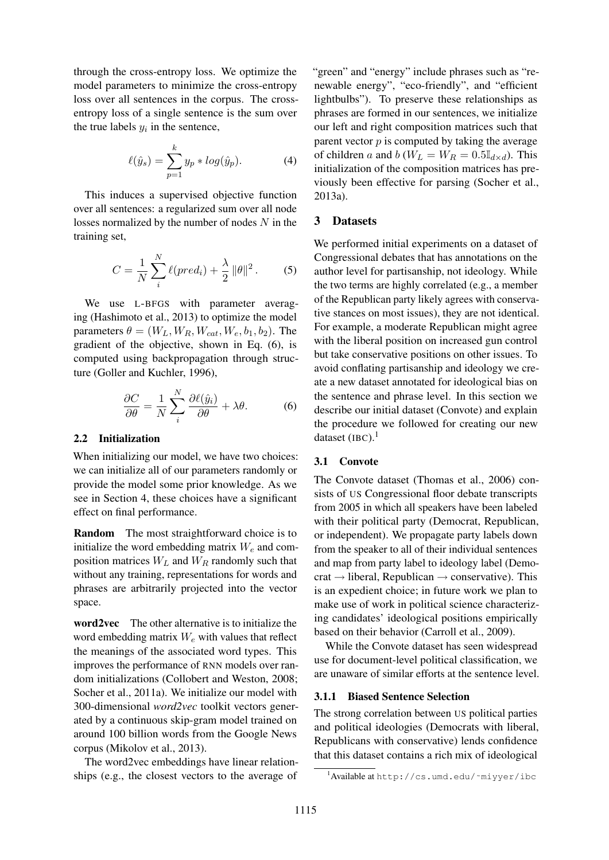through the cross-entropy loss. We optimize the model parameters to minimize the cross-entropy loss over all sentences in the corpus. The crossentropy loss of a single sentence is the sum over the true labels  $y_i$  in the sentence,

$$
\ell(\hat{y}_s) = \sum_{p=1}^{k} y_p * log(\hat{y}_p).
$$
 (4)

This induces a supervised objective function over all sentences: a regularized sum over all node losses normalized by the number of nodes  $N$  in the training set,

$$
C = \frac{1}{N} \sum_{i}^{N} \ell(pred_i) + \frac{\lambda}{2} ||\theta||^2.
$$
 (5)

We use L-BFGS with parameter averaging (Hashimoto et al., 2013) to optimize the model parameters  $\theta = (W_L, W_R, W_{cat}, W_e, b_1, b_2)$ . The gradient of the objective, shown in Eq. (6), is computed using backpropagation through structure (Goller and Kuchler, 1996),

$$
\frac{\partial C}{\partial \theta} = \frac{1}{N} \sum_{i}^{N} \frac{\partial \ell(\hat{y}_i)}{\partial \theta} + \lambda \theta. \tag{6}
$$

#### 2.2 Initialization

When initializing our model, we have two choices: we can initialize all of our parameters randomly or provide the model some prior knowledge. As we see in Section 4, these choices have a significant effect on final performance.

Random The most straightforward choice is to initialize the word embedding matrix  $W_e$  and composition matrices  $W_L$  and  $W_R$  randomly such that without any training, representations for words and phrases are arbitrarily projected into the vector space.

word2vec The other alternative is to initialize the word embedding matrix  $W_e$  with values that reflect the meanings of the associated word types. This improves the performance of RNN models over random initializations (Collobert and Weston, 2008; Socher et al., 2011a). We initialize our model with 300-dimensional *word2vec* toolkit vectors generated by a continuous skip-gram model trained on around 100 billion words from the Google News corpus (Mikolov et al., 2013).

The word2vec embeddings have linear relationships (e.g., the closest vectors to the average of

"green" and "energy" include phrases such as "renewable energy", "eco-friendly", and "efficient lightbulbs"). To preserve these relationships as phrases are formed in our sentences, we initialize our left and right composition matrices such that parent vector  $p$  is computed by taking the average of children a and  $b$  ( $W_L = W_R = 0.5 \mathbb{I}_{d \times d}$ ). This initialization of the composition matrices has previously been effective for parsing (Socher et al., 2013a).

### 3 Datasets

We performed initial experiments on a dataset of Congressional debates that has annotations on the author level for partisanship, not ideology. While the two terms are highly correlated (e.g., a member of the Republican party likely agrees with conservative stances on most issues), they are not identical. For example, a moderate Republican might agree with the liberal position on increased gun control but take conservative positions on other issues. To avoid conflating partisanship and ideology we create a new dataset annotated for ideological bias on the sentence and phrase level. In this section we describe our initial dataset (Convote) and explain the procedure we followed for creating our new dataset (IBC). $<sup>1</sup>$ </sup>

#### 3.1 Convote

The Convote dataset (Thomas et al., 2006) consists of US Congressional floor debate transcripts from 2005 in which all speakers have been labeled with their political party (Democrat, Republican, or independent). We propagate party labels down from the speaker to all of their individual sentences and map from party label to ideology label (Demo $crat \rightarrow liberal$ , Republican  $\rightarrow$  conservative). This is an expedient choice; in future work we plan to make use of work in political science characterizing candidates' ideological positions empirically based on their behavior (Carroll et al., 2009).

While the Convote dataset has seen widespread use for document-level political classification, we are unaware of similar efforts at the sentence level.

#### 3.1.1 Biased Sentence Selection

The strong correlation between US political parties and political ideologies (Democrats with liberal, Republicans with conservative) lends confidence that this dataset contains a rich mix of ideological

<sup>&</sup>lt;sup>1</sup>Available at http://cs.umd.edu/~miyyer/ibc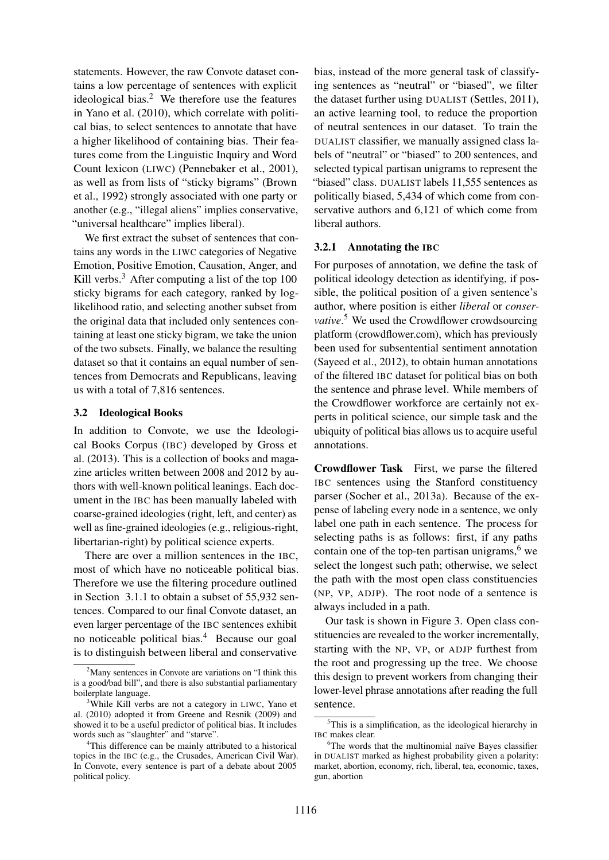statements. However, the raw Convote dataset contains a low percentage of sentences with explicit ideological bias. $<sup>2</sup>$  We therefore use the features</sup> in Yano et al. (2010), which correlate with political bias, to select sentences to annotate that have a higher likelihood of containing bias. Their features come from the Linguistic Inquiry and Word Count lexicon (LIWC) (Pennebaker et al., 2001), as well as from lists of "sticky bigrams" (Brown et al., 1992) strongly associated with one party or another (e.g., "illegal aliens" implies conservative, "universal healthcare" implies liberal).

We first extract the subset of sentences that contains any words in the LIWC categories of Negative Emotion, Positive Emotion, Causation, Anger, and Kill verbs. $3$  After computing a list of the top 100 sticky bigrams for each category, ranked by loglikelihood ratio, and selecting another subset from the original data that included only sentences containing at least one sticky bigram, we take the union of the two subsets. Finally, we balance the resulting dataset so that it contains an equal number of sentences from Democrats and Republicans, leaving us with a total of 7,816 sentences.

#### 3.2 Ideological Books

In addition to Convote, we use the Ideological Books Corpus (IBC) developed by Gross et al. (2013). This is a collection of books and magazine articles written between 2008 and 2012 by authors with well-known political leanings. Each document in the IBC has been manually labeled with coarse-grained ideologies (right, left, and center) as well as fine-grained ideologies (e.g., religious-right, libertarian-right) by political science experts.

There are over a million sentences in the IBC, most of which have no noticeable political bias. Therefore we use the filtering procedure outlined in Section 3.1.1 to obtain a subset of 55,932 sentences. Compared to our final Convote dataset, an even larger percentage of the IBC sentences exhibit no noticeable political bias.<sup>4</sup> Because our goal is to distinguish between liberal and conservative

bias, instead of the more general task of classifying sentences as "neutral" or "biased", we filter the dataset further using DUALIST (Settles, 2011), an active learning tool, to reduce the proportion of neutral sentences in our dataset. To train the DUALIST classifier, we manually assigned class labels of "neutral" or "biased" to 200 sentences, and selected typical partisan unigrams to represent the "biased" class. DUALIST labels 11,555 sentences as politically biased, 5,434 of which come from conservative authors and 6,121 of which come from liberal authors.

### 3.2.1 Annotating the IBC

For purposes of annotation, we define the task of political ideology detection as identifying, if possible, the political position of a given sentence's author, where position is either *liberal* or *conservative*. <sup>5</sup> We used the Crowdflower crowdsourcing platform (crowdflower.com), which has previously been used for subsentential sentiment annotation (Sayeed et al., 2012), to obtain human annotations of the filtered IBC dataset for political bias on both the sentence and phrase level. While members of the Crowdflower workforce are certainly not experts in political science, our simple task and the ubiquity of political bias allows us to acquire useful annotations.

Crowdflower Task First, we parse the filtered IBC sentences using the Stanford constituency parser (Socher et al., 2013a). Because of the expense of labeling every node in a sentence, we only label one path in each sentence. The process for selecting paths is as follows: first, if any paths contain one of the top-ten partisan unigrams, $6$  we select the longest such path; otherwise, we select the path with the most open class constituencies (NP, VP, ADJP). The root node of a sentence is always included in a path.

Our task is shown in Figure 3. Open class constituencies are revealed to the worker incrementally, starting with the NP, VP, or ADJP furthest from the root and progressing up the tree. We choose this design to prevent workers from changing their lower-level phrase annotations after reading the full sentence.

<sup>&</sup>lt;sup>2</sup>Many sentences in Convote are variations on "I think this is a good/bad bill", and there is also substantial parliamentary boilerplate language.

<sup>&</sup>lt;sup>3</sup>While Kill verbs are not a category in LIWC, Yano et al. (2010) adopted it from Greene and Resnik (2009) and showed it to be a useful predictor of political bias. It includes words such as "slaughter" and "starve".

<sup>&</sup>lt;sup>4</sup>This difference can be mainly attributed to a historical topics in the IBC (e.g., the Crusades, American Civil War). In Convote, every sentence is part of a debate about 2005 political policy.

<sup>5</sup>This is a simplification, as the ideological hierarchy in IBC makes clear.

 $6$ The words that the multinomial naïve Bayes classifier in DUALIST marked as highest probability given a polarity: market, abortion, economy, rich, liberal, tea, economic, taxes, gun, abortion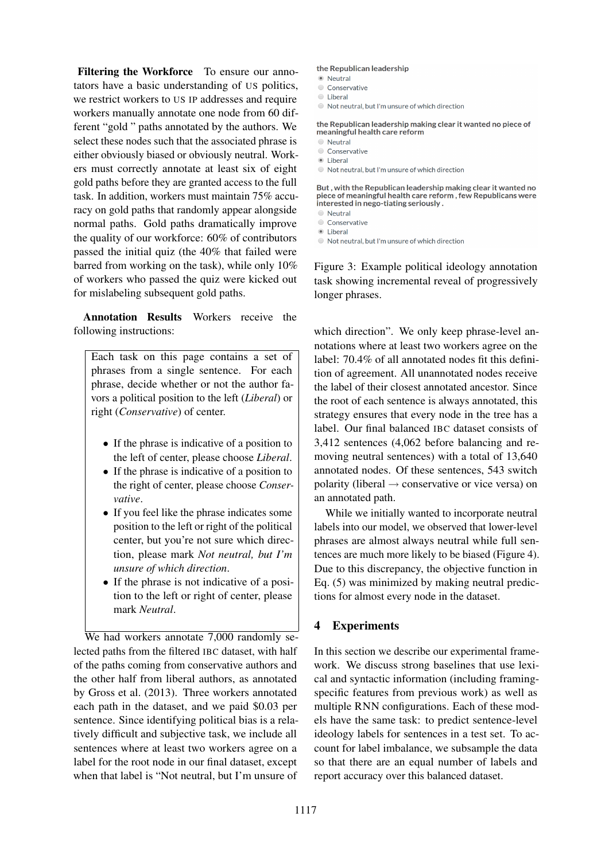Filtering the Workforce To ensure our annotators have a basic understanding of US politics, we restrict workers to US IP addresses and require workers manually annotate one node from 60 different "gold " paths annotated by the authors. We select these nodes such that the associated phrase is either obviously biased or obviously neutral. Workers must correctly annotate at least six of eight gold paths before they are granted access to the full task. In addition, workers must maintain 75% accuracy on gold paths that randomly appear alongside normal paths. Gold paths dramatically improve the quality of our workforce: 60% of contributors passed the initial quiz (the 40% that failed were barred from working on the task), while only 10% of workers who passed the quiz were kicked out for mislabeling subsequent gold paths.

Annotation Results Workers receive the following instructions:

Each task on this page contains a set of phrases from a single sentence. For each phrase, decide whether or not the author favors a political position to the left (*Liberal*) or right (*Conservative*) of center.

- If the phrase is indicative of a position to the left of center, please choose *Liberal*.
- If the phrase is indicative of a position to the right of center, please choose *Conservative*.
- If you feel like the phrase indicates some position to the left or right of the political center, but you're not sure which direction, please mark *Not neutral, but I'm unsure of which direction*.
- If the phrase is not indicative of a position to the left or right of center, please mark *Neutral*.

We had workers annotate 7,000 randomly selected paths from the filtered IBC dataset, with half of the paths coming from conservative authors and the other half from liberal authors, as annotated by Gross et al. (2013). Three workers annotated each path in the dataset, and we paid \$0.03 per sentence. Since identifying political bias is a relatively difficult and subjective task, we include all sentences where at least two workers agree on a label for the root node in our final dataset, except when that label is "Not neutral, but I'm unsure of

#### the Republican leadership

- <sup>O</sup> Neutral
- Conservative
- C Liberal
- Not neutral, but I'm unsure of which direction

the Republican leadership making clear it wanted no piece of meaningful health care reform

- **O** Neutral
- Conservative
- **C** Liberal
- Not neutral, but I'm unsure of which direction

But, with the Republican leadership making clear it wanted no piece of meaningful health care reform, few Republicans were interested in nego-tiating seriously.

- O Neutral
- Conservative
- **C** Liberal
- Not neutral, but I'm unsure of which direction

Figure 3: Example political ideology annotation task showing incremental reveal of progressively longer phrases.

which direction". We only keep phrase-level annotations where at least two workers agree on the label: 70.4% of all annotated nodes fit this definition of agreement. All unannotated nodes receive the label of their closest annotated ancestor. Since the root of each sentence is always annotated, this strategy ensures that every node in the tree has a label. Our final balanced IBC dataset consists of 3,412 sentences (4,062 before balancing and removing neutral sentences) with a total of 13,640 annotated nodes. Of these sentences, 543 switch polarity (liberal  $\rightarrow$  conservative or vice versa) on an annotated path.

While we initially wanted to incorporate neutral labels into our model, we observed that lower-level phrases are almost always neutral while full sentences are much more likely to be biased (Figure 4). Due to this discrepancy, the objective function in Eq. (5) was minimized by making neutral predictions for almost every node in the dataset.

# 4 Experiments

In this section we describe our experimental framework. We discuss strong baselines that use lexical and syntactic information (including framingspecific features from previous work) as well as multiple RNN configurations. Each of these models have the same task: to predict sentence-level ideology labels for sentences in a test set. To account for label imbalance, we subsample the data so that there are an equal number of labels and report accuracy over this balanced dataset.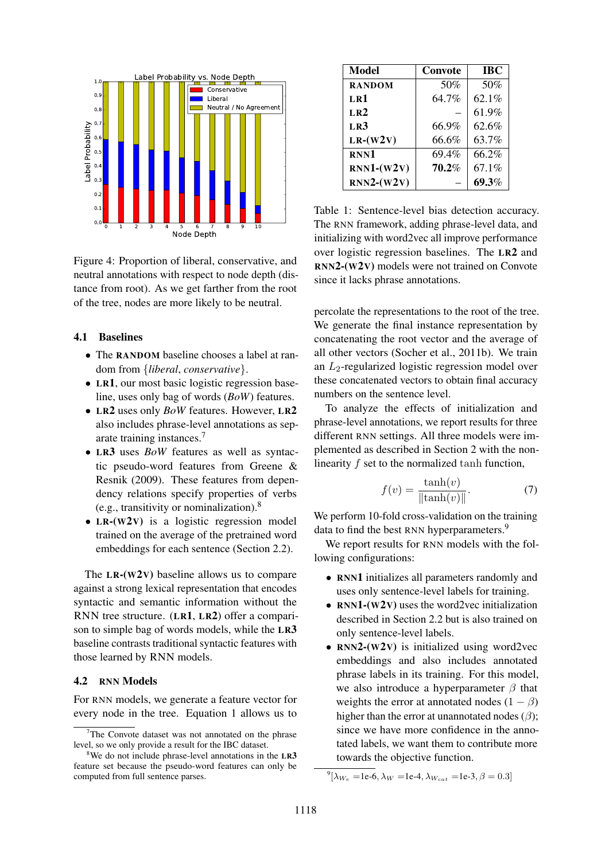

Figure 4: Proportion of liberal, conservative, and neutral annotations with respect to node depth (distance from root). As we get farther from the root of the tree, nodes are more likely to be neutral.

#### 4.1 Baselines

- The RANDOM baseline chooses a label at random from {*liberal*, *conservative*}.
- LR1, our most basic logistic regression baseline, uses only bag of words (*BoW*) features.
- LR2 uses only *BoW* features. However, LR2 also includes phrase-level annotations as separate training instances.<sup>7</sup>
- LR3 uses *BoW* features as well as syntactic pseudo-word features from Greene & Resnik (2009). These features from dependency relations specify properties of verbs (e.g., transitivity or nominalization). $8$
- LR-(W<sub>2V</sub>) is a logistic regression model trained on the average of the pretrained word embeddings for each sentence (Section 2.2).

The  $LR-(W2V)$  baseline allows us to compare against a strong lexical representation that encodes syntactic and semantic information without the RNN tree structure. (LR1, LR2) offer a comparison to simple bag of words models, while the LR3 baseline contrasts traditional syntactic features with those learned by RNN models.

### 4.2 RNN Models

For RNN models, we generate a feature vector for every node in the tree. Equation 1 allows us to

| Model           | Convote | <b>IBC</b> |
|-----------------|---------|------------|
| <b>RANDOM</b>   | 50%     | 50%        |
| LR1             | 64.7%   | 62.1%      |
| LR <sub>2</sub> |         | 61.9%      |
| LR3             | 66.9%   | 62.6%      |
| $LR-(W2V)$      | 66.6%   | 63.7%      |
| RNN1            | 69.4%   | 66.2%      |
| $RNN1-(W2V)$    | 70.2%   | 67.1%      |
| $RNN2-(W2V)$    |         | 69.3%      |

Table 1: Sentence-level bias detection accuracy. The RNN framework, adding phrase-level data, and initializing with word2vec all improve performance over logistic regression baselines. The LR2 and RNN2-(W2V) models were not trained on Convote since it lacks phrase annotations.

percolate the representations to the root of the tree. We generate the final instance representation by concatenating the root vector and the average of all other vectors (Socher et al., 2011b). We train an  $L_2$ -regularized logistic regression model over these concatenated vectors to obtain final accuracy numbers on the sentence level.

To analyze the effects of initialization and phrase-level annotations, we report results for three different RNN settings. All three models were implemented as described in Section 2 with the nonlinearity f set to the normalized tanh function,

$$
f(v) = \frac{\tanh(v)}{\|\tanh(v)\|}.
$$
 (7)

We perform 10-fold cross-validation on the training data to find the best RNN hyperparameters.<sup>9</sup>

We report results for RNN models with the following configurations:

- RNN1 initializes all parameters randomly and uses only sentence-level labels for training.
- RNN1-(W2V) uses the word2vec initialization described in Section 2.2 but is also trained on only sentence-level labels.
- RNN2-(W2V) is initialized using word2vec embeddings and also includes annotated phrase labels in its training. For this model, we also introduce a hyperparameter  $\beta$  that weights the error at annotated nodes  $(1 - \beta)$ higher than the error at unannotated nodes  $(\beta)$ ; since we have more confidence in the annotated labels, we want them to contribute more towards the objective function.

 $7$ The Convote dataset was not annotated on the phrase level, so we only provide a result for the IBC dataset.

 $8$ We do not include phrase-level annotations in the LR3 feature set because the pseudo-word features can only be computed from full sentence parses.

<sup>&</sup>lt;sup>9</sup>[λ<sub>W<sub>e</sub> =1e-6, λ<sub>W</sub> =1e-4, λ<sub>W<sub>cat</sub> =1e-3, β = 0.3]</sub></sub>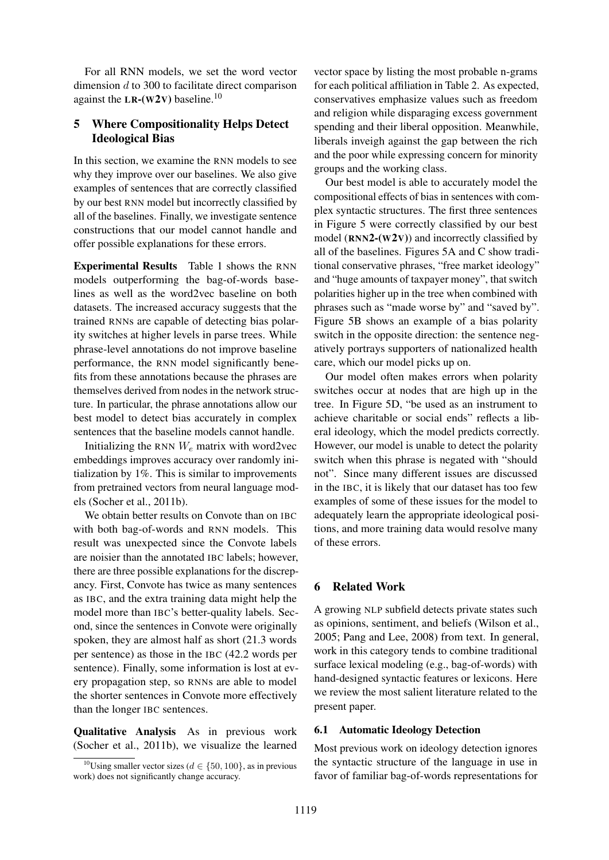For all RNN models, we set the word vector dimension d to 300 to facilitate direct comparison against the LR-(W2V) baseline.<sup>10</sup>

# 5 Where Compositionality Helps Detect Ideological Bias

In this section, we examine the RNN models to see why they improve over our baselines. We also give examples of sentences that are correctly classified by our best RNN model but incorrectly classified by all of the baselines. Finally, we investigate sentence constructions that our model cannot handle and offer possible explanations for these errors.

Experimental Results Table 1 shows the RNN models outperforming the bag-of-words baselines as well as the word2vec baseline on both datasets. The increased accuracy suggests that the trained RNNs are capable of detecting bias polarity switches at higher levels in parse trees. While phrase-level annotations do not improve baseline performance, the RNN model significantly benefits from these annotations because the phrases are themselves derived from nodes in the network structure. In particular, the phrase annotations allow our best model to detect bias accurately in complex sentences that the baseline models cannot handle.

Initializing the RNN  $W_e$  matrix with word2vec embeddings improves accuracy over randomly initialization by 1%. This is similar to improvements from pretrained vectors from neural language models (Socher et al., 2011b).

We obtain better results on Convote than on IBC with both bag-of-words and RNN models. This result was unexpected since the Convote labels are noisier than the annotated IBC labels; however, there are three possible explanations for the discrepancy. First, Convote has twice as many sentences as IBC, and the extra training data might help the model more than IBC's better-quality labels. Second, since the sentences in Convote were originally spoken, they are almost half as short (21.3 words per sentence) as those in the IBC (42.2 words per sentence). Finally, some information is lost at every propagation step, so RNNs are able to model the shorter sentences in Convote more effectively than the longer IBC sentences.

Qualitative Analysis As in previous work (Socher et al., 2011b), we visualize the learned

vector space by listing the most probable n-grams for each political affiliation in Table 2. As expected, conservatives emphasize values such as freedom and religion while disparaging excess government spending and their liberal opposition. Meanwhile, liberals inveigh against the gap between the rich and the poor while expressing concern for minority groups and the working class.

Our best model is able to accurately model the compositional effects of bias in sentences with complex syntactic structures. The first three sentences in Figure 5 were correctly classified by our best model  $(RNN2-(W2V))$  and incorrectly classified by all of the baselines. Figures 5A and C show traditional conservative phrases, "free market ideology" and "huge amounts of taxpayer money", that switch polarities higher up in the tree when combined with phrases such as "made worse by" and "saved by". Figure 5B shows an example of a bias polarity switch in the opposite direction: the sentence negatively portrays supporters of nationalized health care, which our model picks up on.

Our model often makes errors when polarity switches occur at nodes that are high up in the tree. In Figure 5D, "be used as an instrument to achieve charitable or social ends" reflects a liberal ideology, which the model predicts correctly. However, our model is unable to detect the polarity switch when this phrase is negated with "should not". Since many different issues are discussed in the IBC, it is likely that our dataset has too few examples of some of these issues for the model to adequately learn the appropriate ideological positions, and more training data would resolve many of these errors.

# 6 Related Work

A growing NLP subfield detects private states such as opinions, sentiment, and beliefs (Wilson et al., 2005; Pang and Lee, 2008) from text. In general, work in this category tends to combine traditional surface lexical modeling (e.g., bag-of-words) with hand-designed syntactic features or lexicons. Here we review the most salient literature related to the present paper.

### 6.1 Automatic Ideology Detection

Most previous work on ideology detection ignores the syntactic structure of the language in use in favor of familiar bag-of-words representations for

<sup>&</sup>lt;sup>10</sup>Using smaller vector sizes ( $d \in \{50, 100\}$ , as in previous work) does not significantly change accuracy.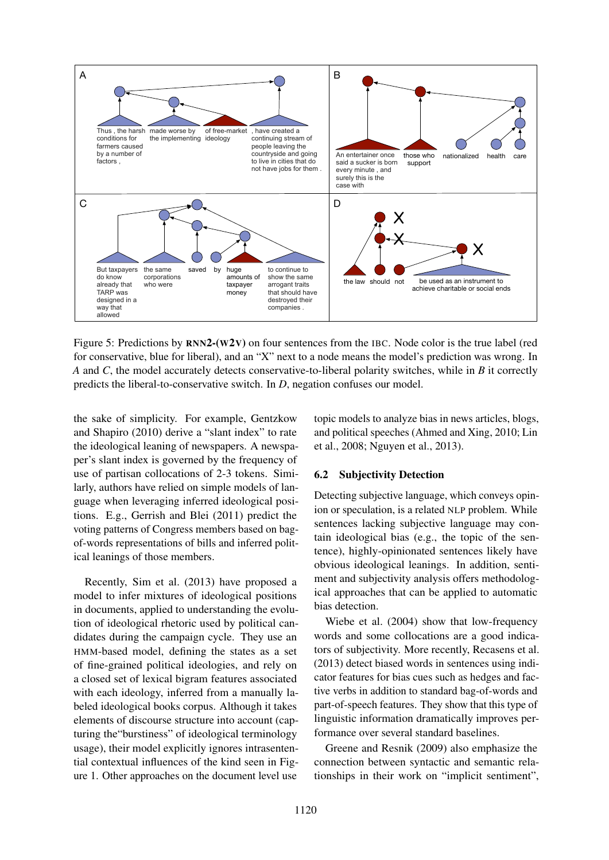

Figure 5: Predictions by  $RNN2-(W2V)$  on four sentences from the IBC. Node color is the true label (red for conservative, blue for liberal), and an "X" next to a node means the model's prediction was wrong. In *A* and *C*, the model accurately detects conservative-to-liberal polarity switches, while in *B* it correctly predicts the liberal-to-conservative switch. In *D*, negation confuses our model.

the sake of simplicity. For example, Gentzkow and Shapiro (2010) derive a "slant index" to rate the ideological leaning of newspapers. A newspaper's slant index is governed by the frequency of use of partisan collocations of 2-3 tokens. Similarly, authors have relied on simple models of language when leveraging inferred ideological positions. E.g., Gerrish and Blei (2011) predict the voting patterns of Congress members based on bagof-words representations of bills and inferred political leanings of those members.

Recently, Sim et al. (2013) have proposed a model to infer mixtures of ideological positions in documents, applied to understanding the evolution of ideological rhetoric used by political candidates during the campaign cycle. They use an HMM-based model, defining the states as a set of fine-grained political ideologies, and rely on a closed set of lexical bigram features associated with each ideology, inferred from a manually labeled ideological books corpus. Although it takes elements of discourse structure into account (capturing the"burstiness" of ideological terminology usage), their model explicitly ignores intrasentential contextual influences of the kind seen in Figure 1. Other approaches on the document level use topic models to analyze bias in news articles, blogs, and political speeches (Ahmed and Xing, 2010; Lin et al., 2008; Nguyen et al., 2013).

# 6.2 Subjectivity Detection

Detecting subjective language, which conveys opinion or speculation, is a related NLP problem. While sentences lacking subjective language may contain ideological bias (e.g., the topic of the sentence), highly-opinionated sentences likely have obvious ideological leanings. In addition, sentiment and subjectivity analysis offers methodological approaches that can be applied to automatic bias detection.

Wiebe et al. (2004) show that low-frequency words and some collocations are a good indicators of subjectivity. More recently, Recasens et al. (2013) detect biased words in sentences using indicator features for bias cues such as hedges and factive verbs in addition to standard bag-of-words and part-of-speech features. They show that this type of linguistic information dramatically improves performance over several standard baselines.

Greene and Resnik (2009) also emphasize the connection between syntactic and semantic relationships in their work on "implicit sentiment",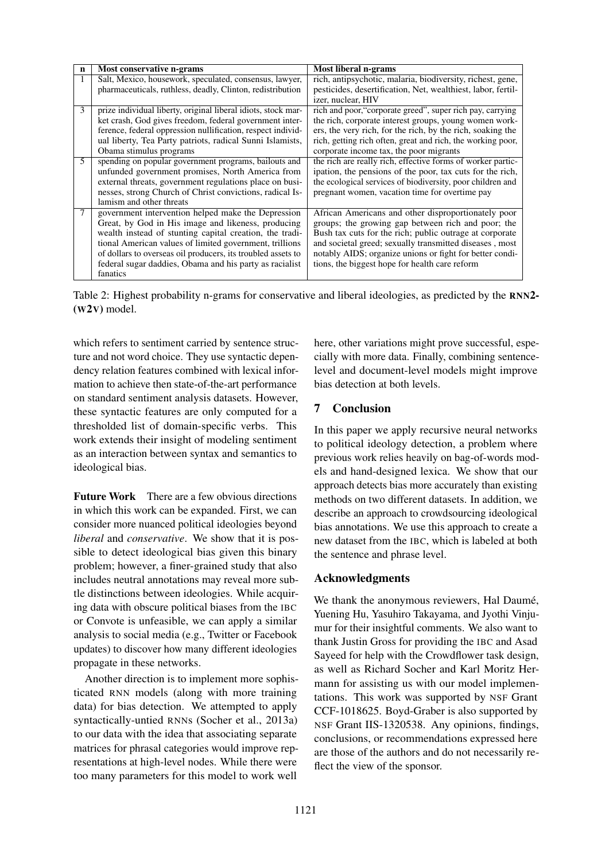| $\mathbf n$ | Most conservative n-grams                                                                                                                                                                                                                                                                                                                                             | Most liberal n-grams                                                                                                                                                                                                                                                                                                                          |
|-------------|-----------------------------------------------------------------------------------------------------------------------------------------------------------------------------------------------------------------------------------------------------------------------------------------------------------------------------------------------------------------------|-----------------------------------------------------------------------------------------------------------------------------------------------------------------------------------------------------------------------------------------------------------------------------------------------------------------------------------------------|
|             | Salt, Mexico, housework, speculated, consensus, lawyer,<br>pharmaceuticals, ruthless, deadly, Clinton, redistribution                                                                                                                                                                                                                                                 | rich, antipsychotic, malaria, biodiversity, richest, gene,<br>pesticides, desertification, Net, wealthiest, labor, fertil-<br>izer, nuclear, HIV                                                                                                                                                                                              |
| 3           | prize individual liberty, original liberal idiots, stock mar-<br>ket crash, God gives freedom, federal government inter-<br>ference, federal oppression nullification, respect individ-<br>ual liberty, Tea Party patriots, radical Sunni Islamists,<br>Obama stimulus programs                                                                                       | rich and poor, "corporate greed", super rich pay, carrying<br>the rich, corporate interest groups, young women work-<br>ers, the very rich, for the rich, by the rich, soaking the<br>rich, getting rich often, great and rich, the working poor,<br>corporate income tax, the poor migrants                                                  |
| 5           | spending on popular government programs, bailouts and<br>unfunded government promises, North America from<br>external threats, government regulations place on busi-<br>nesses, strong Church of Christ convictions, radical Is-<br>lamism and other threats                                                                                                          | the rich are really rich, effective forms of worker partic-<br>ipation, the pensions of the poor, tax cuts for the rich,<br>the ecological services of biodiversity, poor children and<br>pregnant women, vacation time for overtime pay                                                                                                      |
|             | government intervention helped make the Depression<br>Great, by God in His image and likeness, producing<br>wealth instead of stunting capital creation, the tradi-<br>tional American values of limited government, trillions<br>of dollars to overseas oil producers, its troubled assets to<br>federal sugar daddies, Obama and his party as racialist<br>fanatics | African Americans and other disproportionately poor<br>groups; the growing gap between rich and poor; the<br>Bush tax cuts for the rich; public outrage at corporate<br>and societal greed; sexually transmitted diseases, most<br>notably AIDS; organize unions or fight for better condi-<br>tions, the biggest hope for health care reform |

Table 2: Highest probability n-grams for conservative and liberal ideologies, as predicted by the RNN2- (W2V) model.

which refers to sentiment carried by sentence structure and not word choice. They use syntactic dependency relation features combined with lexical information to achieve then state-of-the-art performance on standard sentiment analysis datasets. However, these syntactic features are only computed for a thresholded list of domain-specific verbs. This work extends their insight of modeling sentiment as an interaction between syntax and semantics to ideological bias.

Future Work There are a few obvious directions in which this work can be expanded. First, we can consider more nuanced political ideologies beyond *liberal* and *conservative*. We show that it is possible to detect ideological bias given this binary problem; however, a finer-grained study that also includes neutral annotations may reveal more subtle distinctions between ideologies. While acquiring data with obscure political biases from the IBC or Convote is unfeasible, we can apply a similar analysis to social media (e.g., Twitter or Facebook updates) to discover how many different ideologies propagate in these networks.

Another direction is to implement more sophisticated RNN models (along with more training data) for bias detection. We attempted to apply syntactically-untied RNNs (Socher et al., 2013a) to our data with the idea that associating separate matrices for phrasal categories would improve representations at high-level nodes. While there were too many parameters for this model to work well here, other variations might prove successful, especially with more data. Finally, combining sentencelevel and document-level models might improve bias detection at both levels.

# 7 Conclusion

In this paper we apply recursive neural networks to political ideology detection, a problem where previous work relies heavily on bag-of-words models and hand-designed lexica. We show that our approach detects bias more accurately than existing methods on two different datasets. In addition, we describe an approach to crowdsourcing ideological bias annotations. We use this approach to create a new dataset from the IBC, which is labeled at both the sentence and phrase level.

# Acknowledgments

We thank the anonymous reviewers, Hal Daumé, Yuening Hu, Yasuhiro Takayama, and Jyothi Vinjumur for their insightful comments. We also want to thank Justin Gross for providing the IBC and Asad Sayeed for help with the Crowdflower task design, as well as Richard Socher and Karl Moritz Hermann for assisting us with our model implementations. This work was supported by NSF Grant CCF-1018625. Boyd-Graber is also supported by NSF Grant IIS-1320538. Any opinions, findings, conclusions, or recommendations expressed here are those of the authors and do not necessarily reflect the view of the sponsor.